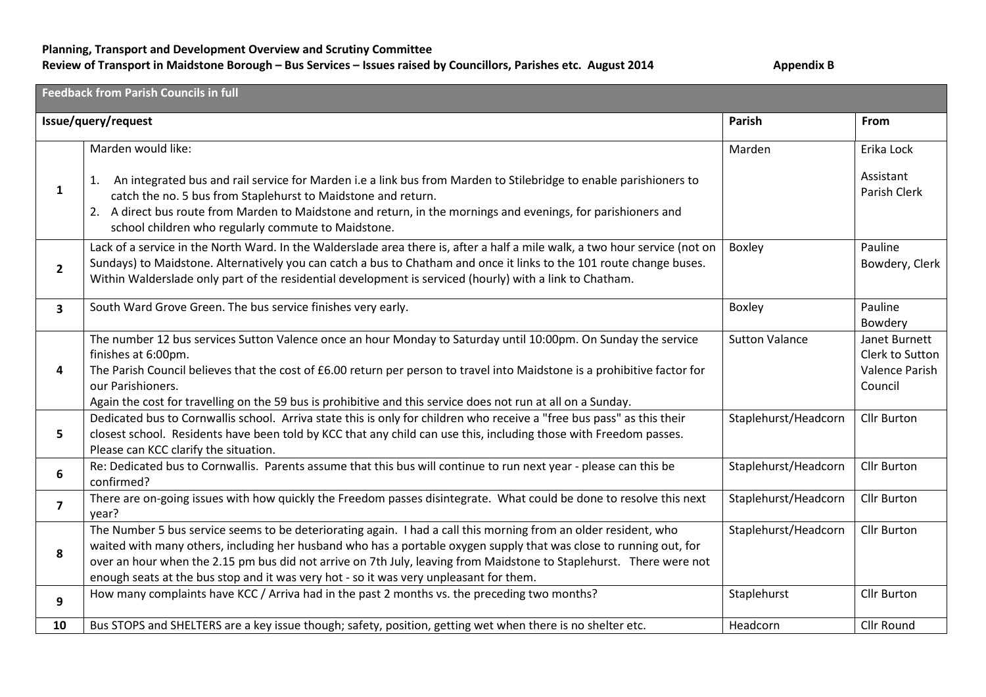## **Planning, Transport and Development Overview and Scrutiny Committee** Review of Transport in Maidstone Borough – Bus Services – Issues raised by Councillors, Parishes etc. August 2014 **Appendix B**

| <b>Feedback from Parish Councils in full</b> |                                                                                                                                                                                                                                                                                                                                                                                                                                                        |                       |                                                               |
|----------------------------------------------|--------------------------------------------------------------------------------------------------------------------------------------------------------------------------------------------------------------------------------------------------------------------------------------------------------------------------------------------------------------------------------------------------------------------------------------------------------|-----------------------|---------------------------------------------------------------|
|                                              | Issue/query/request                                                                                                                                                                                                                                                                                                                                                                                                                                    | Parish                | From                                                          |
|                                              | Marden would like:                                                                                                                                                                                                                                                                                                                                                                                                                                     | Marden                | Erika Lock                                                    |
| $\mathbf{1}$                                 | An integrated bus and rail service for Marden i.e a link bus from Marden to Stilebridge to enable parishioners to<br>1.<br>catch the no. 5 bus from Staplehurst to Maidstone and return.<br>2. A direct bus route from Marden to Maidstone and return, in the mornings and evenings, for parishioners and<br>school children who regularly commute to Maidstone.                                                                                       |                       | Assistant<br>Parish Clerk                                     |
| $\overline{2}$                               | Lack of a service in the North Ward. In the Walderslade area there is, after a half a mile walk, a two hour service (not on<br>Sundays) to Maidstone. Alternatively you can catch a bus to Chatham and once it links to the 101 route change buses.<br>Within Walderslade only part of the residential development is serviced (hourly) with a link to Chatham.                                                                                        | Boxley                | Pauline<br>Bowdery, Clerk                                     |
| $\overline{\mathbf{3}}$                      | South Ward Grove Green. The bus service finishes very early.                                                                                                                                                                                                                                                                                                                                                                                           | Boxley                | Pauline<br>Bowdery                                            |
| 4                                            | The number 12 bus services Sutton Valence once an hour Monday to Saturday until 10:00pm. On Sunday the service<br>finishes at 6:00pm.<br>The Parish Council believes that the cost of £6.00 return per person to travel into Maidstone is a prohibitive factor for<br>our Parishioners.<br>Again the cost for travelling on the 59 bus is prohibitive and this service does not run at all on a Sunday.                                                | <b>Sutton Valance</b> | Janet Burnett<br>Clerk to Sutton<br>Valence Parish<br>Council |
| 5                                            | Dedicated bus to Cornwallis school. Arriva state this is only for children who receive a "free bus pass" as this their<br>closest school. Residents have been told by KCC that any child can use this, including those with Freedom passes.<br>Please can KCC clarify the situation.                                                                                                                                                                   | Staplehurst/Headcorn  | Cllr Burton                                                   |
| 6                                            | Re: Dedicated bus to Cornwallis. Parents assume that this bus will continue to run next year - please can this be<br>confirmed?                                                                                                                                                                                                                                                                                                                        | Staplehurst/Headcorn  | <b>Cllr Burton</b>                                            |
| $\overline{7}$                               | There are on-going issues with how quickly the Freedom passes disintegrate. What could be done to resolve this next<br>year?                                                                                                                                                                                                                                                                                                                           | Staplehurst/Headcorn  | <b>Cllr Burton</b>                                            |
| 8                                            | The Number 5 bus service seems to be deteriorating again. I had a call this morning from an older resident, who<br>waited with many others, including her husband who has a portable oxygen supply that was close to running out, for<br>over an hour when the 2.15 pm bus did not arrive on 7th July, leaving from Maidstone to Staplehurst. There were not<br>enough seats at the bus stop and it was very hot - so it was very unpleasant for them. | Staplehurst/Headcorn  | <b>Cllr Burton</b>                                            |
| 9                                            | How many complaints have KCC / Arriva had in the past 2 months vs. the preceding two months?                                                                                                                                                                                                                                                                                                                                                           | Staplehurst           | <b>Cllr Burton</b>                                            |
| 10                                           | Bus STOPS and SHELTERS are a key issue though; safety, position, getting wet when there is no shelter etc.                                                                                                                                                                                                                                                                                                                                             | Headcorn              | Cllr Round                                                    |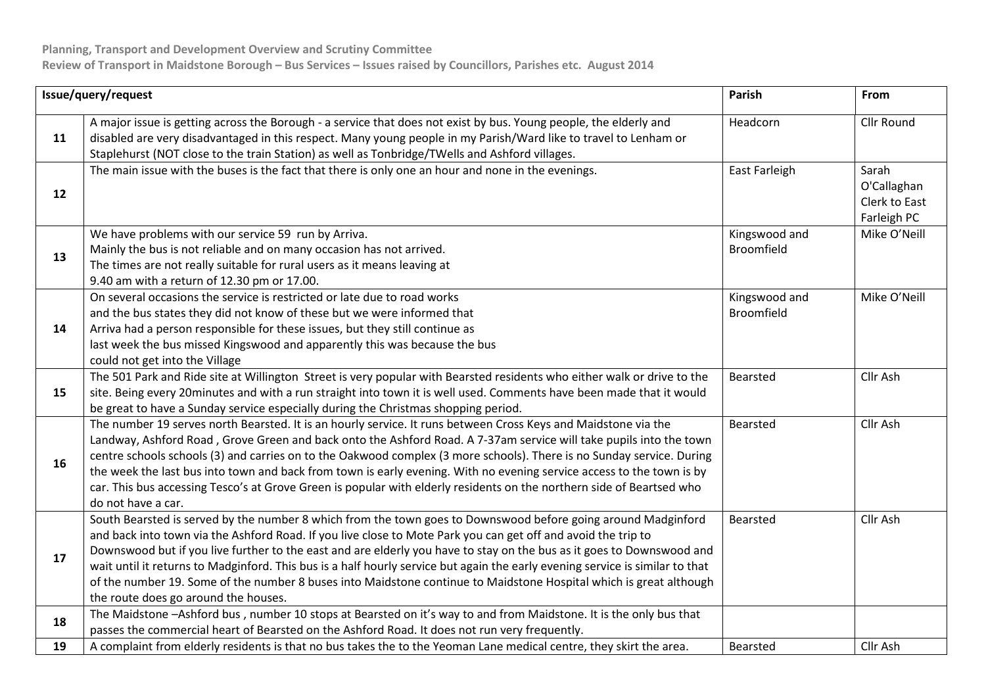| Issue/query/request |                                                                                                                                                                                                                                                                                                                                                                                                                                                                                                                                                                                                                                                        | Parish                      | From                                                 |
|---------------------|--------------------------------------------------------------------------------------------------------------------------------------------------------------------------------------------------------------------------------------------------------------------------------------------------------------------------------------------------------------------------------------------------------------------------------------------------------------------------------------------------------------------------------------------------------------------------------------------------------------------------------------------------------|-----------------------------|------------------------------------------------------|
| 11                  | A major issue is getting across the Borough - a service that does not exist by bus. Young people, the elderly and<br>disabled are very disadvantaged in this respect. Many young people in my Parish/Ward like to travel to Lenham or<br>Staplehurst (NOT close to the train Station) as well as Tonbridge/TWells and Ashford villages.                                                                                                                                                                                                                                                                                                                | Headcorn                    | Cllr Round                                           |
| 12                  | The main issue with the buses is the fact that there is only one an hour and none in the evenings.                                                                                                                                                                                                                                                                                                                                                                                                                                                                                                                                                     | East Farleigh               | Sarah<br>O'Callaghan<br>Clerk to East<br>Farleigh PC |
| 13                  | We have problems with our service 59 run by Arriva.<br>Mainly the bus is not reliable and on many occasion has not arrived.<br>The times are not really suitable for rural users as it means leaving at<br>9.40 am with a return of 12.30 pm or 17.00.                                                                                                                                                                                                                                                                                                                                                                                                 | Kingswood and<br>Broomfield | Mike O'Neill                                         |
| 14                  | On several occasions the service is restricted or late due to road works<br>and the bus states they did not know of these but we were informed that<br>Arriva had a person responsible for these issues, but they still continue as<br>last week the bus missed Kingswood and apparently this was because the bus<br>could not get into the Village                                                                                                                                                                                                                                                                                                    | Kingswood and<br>Broomfield | Mike O'Neill                                         |
| 15                  | The 501 Park and Ride site at Willington Street is very popular with Bearsted residents who either walk or drive to the<br>site. Being every 20minutes and with a run straight into town it is well used. Comments have been made that it would<br>be great to have a Sunday service especially during the Christmas shopping period.                                                                                                                                                                                                                                                                                                                  | <b>Bearsted</b>             | Cllr Ash                                             |
| 16                  | The number 19 serves north Bearsted. It is an hourly service. It runs between Cross Keys and Maidstone via the<br>Landway, Ashford Road, Grove Green and back onto the Ashford Road. A 7-37am service will take pupils into the town<br>centre schools schools (3) and carries on to the Oakwood complex (3 more schools). There is no Sunday service. During<br>the week the last bus into town and back from town is early evening. With no evening service access to the town is by<br>car. This bus accessing Tesco's at Grove Green is popular with elderly residents on the northern side of Beartsed who<br>do not have a car.                  | Bearsted                    | Cllr Ash                                             |
| 17                  | South Bearsted is served by the number 8 which from the town goes to Downswood before going around Madginford<br>and back into town via the Ashford Road. If you live close to Mote Park you can get off and avoid the trip to<br>Downswood but if you live further to the east and are elderly you have to stay on the bus as it goes to Downswood and<br>wait until it returns to Madginford. This bus is a half hourly service but again the early evening service is similar to that<br>of the number 19. Some of the number 8 buses into Maidstone continue to Maidstone Hospital which is great although<br>the route does go around the houses. | Bearsted                    | Cllr Ash                                             |
| 18                  | The Maidstone -Ashford bus, number 10 stops at Bearsted on it's way to and from Maidstone. It is the only bus that<br>passes the commercial heart of Bearsted on the Ashford Road. It does not run very frequently.                                                                                                                                                                                                                                                                                                                                                                                                                                    |                             |                                                      |
| 19                  | A complaint from elderly residents is that no bus takes the to the Yeoman Lane medical centre, they skirt the area.                                                                                                                                                                                                                                                                                                                                                                                                                                                                                                                                    | Bearsted                    | Cllr Ash                                             |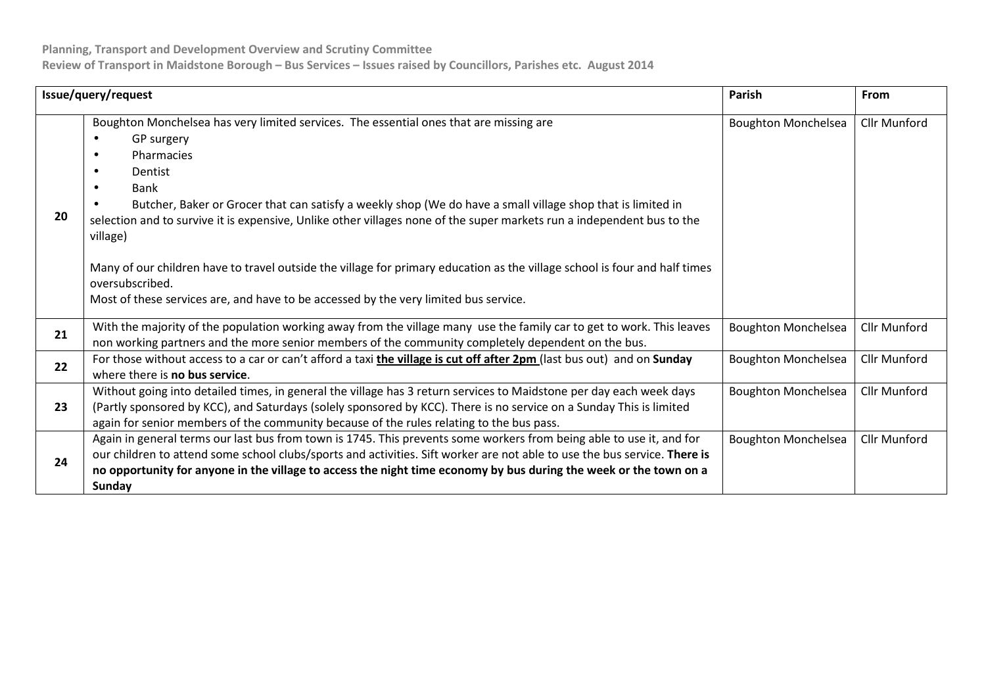**Planning, Transport and Development Overview and Scrutiny Committee** 

**Review of Transport in Maidstone Borough – Bus Services – Issues raised by Councillors, Parishes etc. August 2014**

| Issue/query/request |                                                                                                                                                                                                                                                                                                                                                                                                                                                                                                                                                                                                                                                  | <b>Parish</b>              | From                |
|---------------------|--------------------------------------------------------------------------------------------------------------------------------------------------------------------------------------------------------------------------------------------------------------------------------------------------------------------------------------------------------------------------------------------------------------------------------------------------------------------------------------------------------------------------------------------------------------------------------------------------------------------------------------------------|----------------------------|---------------------|
| 20                  | Boughton Monchelsea has very limited services. The essential ones that are missing are<br>GP surgery<br>Pharmacies<br>$\bullet$<br>Dentist<br>Bank<br>Butcher, Baker or Grocer that can satisfy a weekly shop (We do have a small village shop that is limited in<br>selection and to survive it is expensive, Unlike other villages none of the super markets run a independent bus to the<br>village)<br>Many of our children have to travel outside the village for primary education as the village school is four and half times<br>oversubscribed.<br>Most of these services are, and have to be accessed by the very limited bus service. | <b>Boughton Monchelsea</b> | <b>Cllr Munford</b> |
| 21                  | With the majority of the population working away from the village many use the family car to get to work. This leaves<br>non working partners and the more senior members of the community completely dependent on the bus.                                                                                                                                                                                                                                                                                                                                                                                                                      | <b>Boughton Monchelsea</b> | Cllr Munford        |
| 22                  | For those without access to a car or can't afford a taxi the village is cut off after 2pm (last bus out) and on Sunday<br>where there is <b>no bus service</b> .                                                                                                                                                                                                                                                                                                                                                                                                                                                                                 | <b>Boughton Monchelsea</b> | <b>Cllr Munford</b> |
| 23                  | Without going into detailed times, in general the village has 3 return services to Maidstone per day each week days<br>(Partly sponsored by KCC), and Saturdays (solely sponsored by KCC). There is no service on a Sunday This is limited<br>again for senior members of the community because of the rules relating to the bus pass.                                                                                                                                                                                                                                                                                                           | <b>Boughton Monchelsea</b> | <b>Cllr Munford</b> |
| 24                  | Again in general terms our last bus from town is 1745. This prevents some workers from being able to use it, and for<br>our children to attend some school clubs/sports and activities. Sift worker are not able to use the bus service. There is<br>no opportunity for anyone in the village to access the night time economy by bus during the week or the town on a<br><b>Sunday</b>                                                                                                                                                                                                                                                          | <b>Boughton Monchelsea</b> | Cllr Munford        |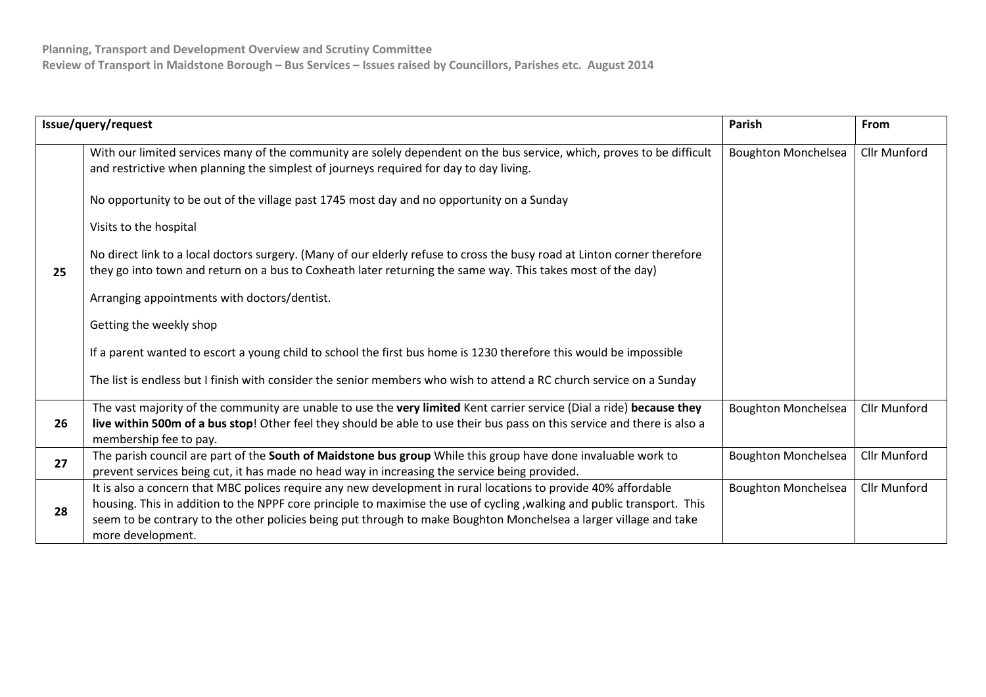| Issue/query/request |                                                                                                                                                                                                                                                                                                                                                                                     | <b>Parish</b>              | From                |
|---------------------|-------------------------------------------------------------------------------------------------------------------------------------------------------------------------------------------------------------------------------------------------------------------------------------------------------------------------------------------------------------------------------------|----------------------------|---------------------|
| 25                  | With our limited services many of the community are solely dependent on the bus service, which, proves to be difficult<br>and restrictive when planning the simplest of journeys required for day to day living.                                                                                                                                                                    | <b>Boughton Monchelsea</b> | <b>Cllr Munford</b> |
|                     | No opportunity to be out of the village past 1745 most day and no opportunity on a Sunday                                                                                                                                                                                                                                                                                           |                            |                     |
|                     | Visits to the hospital                                                                                                                                                                                                                                                                                                                                                              |                            |                     |
|                     | No direct link to a local doctors surgery. (Many of our elderly refuse to cross the busy road at Linton corner therefore<br>they go into town and return on a bus to Coxheath later returning the same way. This takes most of the day)                                                                                                                                             |                            |                     |
|                     | Arranging appointments with doctors/dentist.                                                                                                                                                                                                                                                                                                                                        |                            |                     |
|                     | Getting the weekly shop                                                                                                                                                                                                                                                                                                                                                             |                            |                     |
|                     | If a parent wanted to escort a young child to school the first bus home is 1230 therefore this would be impossible                                                                                                                                                                                                                                                                  |                            |                     |
|                     | The list is endless but I finish with consider the senior members who wish to attend a RC church service on a Sunday                                                                                                                                                                                                                                                                |                            |                     |
| 26                  | The vast majority of the community are unable to use the very limited Kent carrier service (Dial a ride) because they<br>live within 500m of a bus stop! Other feel they should be able to use their bus pass on this service and there is also a<br>membership fee to pay.                                                                                                         | <b>Boughton Monchelsea</b> | <b>Cllr Munford</b> |
| 27                  | The parish council are part of the South of Maidstone bus group While this group have done invaluable work to<br>prevent services being cut, it has made no head way in increasing the service being provided.                                                                                                                                                                      | <b>Boughton Monchelsea</b> | <b>Cllr Munford</b> |
| 28                  | It is also a concern that MBC polices require any new development in rural locations to provide 40% affordable<br>housing. This in addition to the NPPF core principle to maximise the use of cycling, walking and public transport. This<br>seem to be contrary to the other policies being put through to make Boughton Monchelsea a larger village and take<br>more development. | <b>Boughton Monchelsea</b> | <b>Cllr Munford</b> |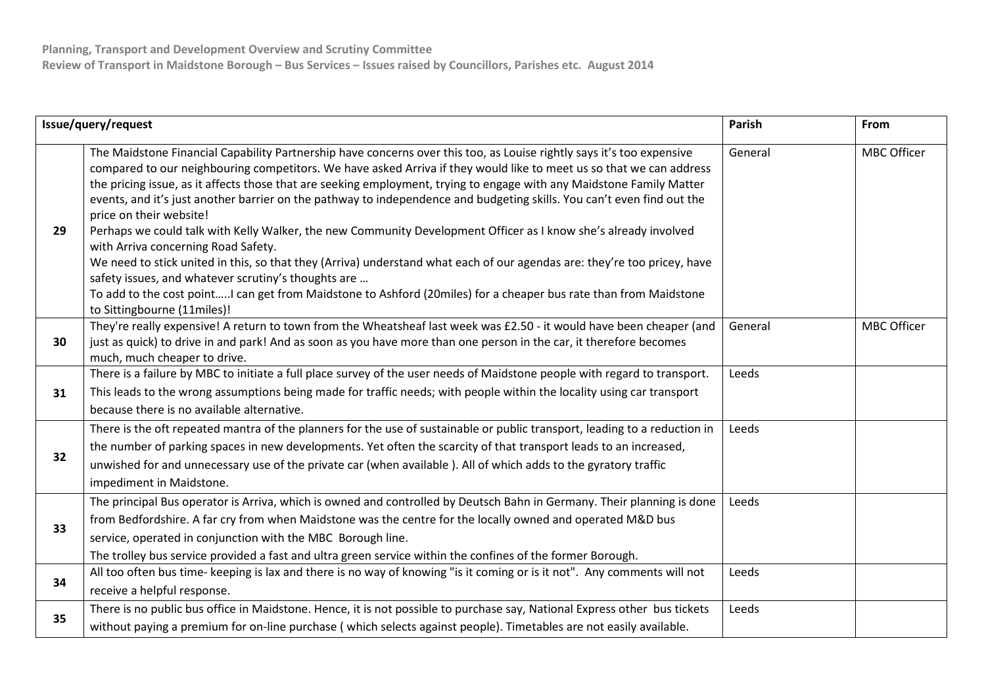| Issue/query/request |                                                                                                                                                                                                                                                                                                                                                                                                                                                                                                                                                                                                                                                                                                                                                                                                                                                                                                                                                                                                                            | <b>Parish</b> | From               |
|---------------------|----------------------------------------------------------------------------------------------------------------------------------------------------------------------------------------------------------------------------------------------------------------------------------------------------------------------------------------------------------------------------------------------------------------------------------------------------------------------------------------------------------------------------------------------------------------------------------------------------------------------------------------------------------------------------------------------------------------------------------------------------------------------------------------------------------------------------------------------------------------------------------------------------------------------------------------------------------------------------------------------------------------------------|---------------|--------------------|
| 29                  | The Maidstone Financial Capability Partnership have concerns over this too, as Louise rightly says it's too expensive<br>compared to our neighbouring competitors. We have asked Arriva if they would like to meet us so that we can address<br>the pricing issue, as it affects those that are seeking employment, trying to engage with any Maidstone Family Matter<br>events, and it's just another barrier on the pathway to independence and budgeting skills. You can't even find out the<br>price on their website!<br>Perhaps we could talk with Kelly Walker, the new Community Development Officer as I know she's already involved<br>with Arriva concerning Road Safety.<br>We need to stick united in this, so that they (Arriva) understand what each of our agendas are: they're too pricey, have<br>safety issues, and whatever scrutiny's thoughts are<br>To add to the cost pointI can get from Maidstone to Ashford (20miles) for a cheaper bus rate than from Maidstone<br>to Sittingbourne (11miles)! | General       | <b>MBC Officer</b> |
| 30                  | They're really expensive! A return to town from the Wheatsheaf last week was £2.50 - it would have been cheaper (and<br>just as quick) to drive in and park! And as soon as you have more than one person in the car, it therefore becomes<br>much, much cheaper to drive.                                                                                                                                                                                                                                                                                                                                                                                                                                                                                                                                                                                                                                                                                                                                                 | General       | <b>MBC Officer</b> |
| 31                  | There is a failure by MBC to initiate a full place survey of the user needs of Maidstone people with regard to transport.<br>This leads to the wrong assumptions being made for traffic needs; with people within the locality using car transport<br>because there is no available alternative.                                                                                                                                                                                                                                                                                                                                                                                                                                                                                                                                                                                                                                                                                                                           | Leeds         |                    |
| 32                  | There is the oft repeated mantra of the planners for the use of sustainable or public transport, leading to a reduction in<br>the number of parking spaces in new developments. Yet often the scarcity of that transport leads to an increased,<br>unwished for and unnecessary use of the private car (when available). All of which adds to the gyratory traffic<br>impediment in Maidstone.                                                                                                                                                                                                                                                                                                                                                                                                                                                                                                                                                                                                                             | Leeds         |                    |
| 33                  | The principal Bus operator is Arriva, which is owned and controlled by Deutsch Bahn in Germany. Their planning is done<br>from Bedfordshire. A far cry from when Maidstone was the centre for the locally owned and operated M&D bus<br>service, operated in conjunction with the MBC Borough line.<br>The trolley bus service provided a fast and ultra green service within the confines of the former Borough.                                                                                                                                                                                                                                                                                                                                                                                                                                                                                                                                                                                                          | Leeds         |                    |
| 34                  | All too often bus time- keeping is lax and there is no way of knowing "is it coming or is it not". Any comments will not<br>receive a helpful response.                                                                                                                                                                                                                                                                                                                                                                                                                                                                                                                                                                                                                                                                                                                                                                                                                                                                    | Leeds         |                    |
| 35                  | There is no public bus office in Maidstone. Hence, it is not possible to purchase say, National Express other bus tickets<br>without paying a premium for on-line purchase (which selects against people). Timetables are not easily available.                                                                                                                                                                                                                                                                                                                                                                                                                                                                                                                                                                                                                                                                                                                                                                            | Leeds         |                    |